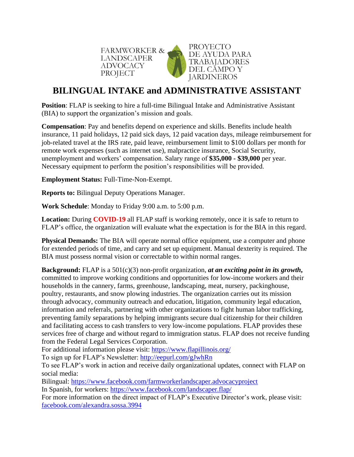

## **BILINGUAL INTAKE and ADMINISTRATIVE ASSISTANT**

**Position**: [FLAP](http://www.fwadvocacy.org/) is seeking to hire a full-time Bilingual Intake and Administrative Assistant (BIA) to support the organization's mission and goals.

**Compensation**: Pay and benefits depend on experience and skills. Benefits include health insurance, 11 paid holidays, 12 paid sick days, 12 paid vacation days, mileage reimbursement for job-related travel at the IRS rate, paid leave, reimbursement limit to \$100 dollars per month for remote work expenses (such as internet use), malpractice insurance, Social Security, unemployment and workers' compensation. Salary range of **\$35,000 - \$39,000** per year. Necessary equipment to perform the position's responsibilities will be provided.

**Employment Status:** Full-Time-Non-Exempt.

**Reports to:** Bilingual Deputy Operations Manager.

**Work Schedule**: Monday to Friday 9:00 a.m. to 5:00 p.m.

**Location:** During **COVID-19** all FLAP staff is working remotely, once it is safe to return to FLAP's office, the organization will evaluate what the expectation is for the BIA in this regard.

**Physical Demands:** The BIA will operate normal office equipment, use a computer and phone for extended periods of time, and carry and set up equipment. Manual dexterity is required. The BIA must possess normal vision or correctable to within normal ranges.

**Background:** FLAP is a 501(c)(3) non-profit organization, *at an exciting point in its growth***,** committed to improve working conditions and opportunities for low-income workers and their households in the cannery, farms, greenhouse, landscaping, meat, nursery, packinghouse, poultry, restaurants, and snow plowing industries. The organization carries out its mission through advocacy, community outreach and education, litigation, community legal education, information and referrals, partnering with other organizations to fight human labor trafficking, preventing family separations by helping immigrants secure dual citizenship for their children and facilitating access to cash transfers to very low-income populations. FLAP provides these services free of charge and without regard to immigration status. FLAP does not receive funding from the Federal Legal Services Corporation.

For additional information please visit:<https://www.flapillinois.org/>

To sign up for FLAP's Newsletter:<http://eepurl.com/gJwhRn>

To see FLAP's work in action and receive daily organizational updates, connect with FLAP on social media:

Bilingual: <https://www.facebook.com/farmworkerlandscaper.advocacyproject>

In Spanish, for workers: <https://www.facebook.com/landscaper.flap/>

For more information on the direct impact of FLAP's Executive Director's work, please visit: [facebook.com/alexandra.sossa.3994](https://www.facebook.com/alexandra.sossa.3994)